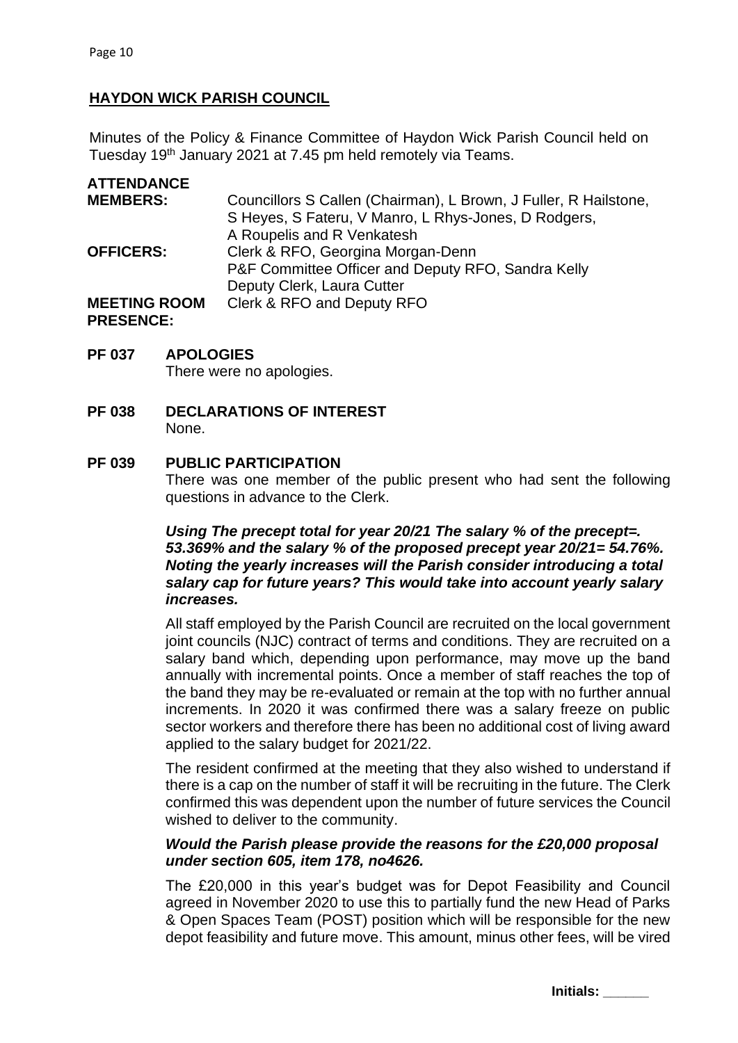# **HAYDON WICK PARISH COUNCIL**

Minutes of the Policy & Finance Committee of Haydon Wick Parish Council held on Tuesday 19<sup>th</sup> January 2021 at 7.45 pm held remotely via Teams.

| <b>ATTENDANCE</b>   |                                                                  |
|---------------------|------------------------------------------------------------------|
| <b>MEMBERS:</b>     | Councillors S Callen (Chairman), L Brown, J Fuller, R Hailstone, |
|                     | S Heyes, S Fateru, V Manro, L Rhys-Jones, D Rodgers,             |
|                     | A Roupelis and R Venkatesh                                       |
| <b>OFFICERS:</b>    | Clerk & RFO, Georgina Morgan-Denn                                |
|                     | P&F Committee Officer and Deputy RFO, Sandra Kelly               |
|                     | Deputy Clerk, Laura Cutter                                       |
| <b>MEETING ROOM</b> | Clerk & RFO and Deputy RFO                                       |
| <b>PRESENCE:</b>    |                                                                  |

#### **PF 037 APOLOGIES**

There were no apologies.

**PF 038 DECLARATIONS OF INTEREST** None.

#### **PF 039 PUBLIC PARTICIPATION**

There was one member of the public present who had sent the following questions in advance to the Clerk.

## *Using The precept total for year 20/21 The salary % of the precept=. 53.369% and the salary % of the proposed precept year 20/21= 54.76%. Noting the yearly increases will the Parish consider introducing a total salary cap for future years? This would take into account yearly salary increases.*

All staff employed by the Parish Council are recruited on the local government joint councils (NJC) contract of terms and conditions. They are recruited on a salary band which, depending upon performance, may move up the band annually with incremental points. Once a member of staff reaches the top of the band they may be re-evaluated or remain at the top with no further annual increments. In 2020 it was confirmed there was a salary freeze on public sector workers and therefore there has been no additional cost of living award applied to the salary budget for 2021/22.

The resident confirmed at the meeting that they also wished to understand if there is a cap on the number of staff it will be recruiting in the future. The Clerk confirmed this was dependent upon the number of future services the Council wished to deliver to the community.

# *Would the Parish please provide the reasons for the £20,000 proposal under section 605, item 178, no4626.*

The £20,000 in this year's budget was for Depot Feasibility and Council agreed in November 2020 to use this to partially fund the new Head of Parks & Open Spaces Team (POST) position which will be responsible for the new depot feasibility and future move. This amount, minus other fees, will be vired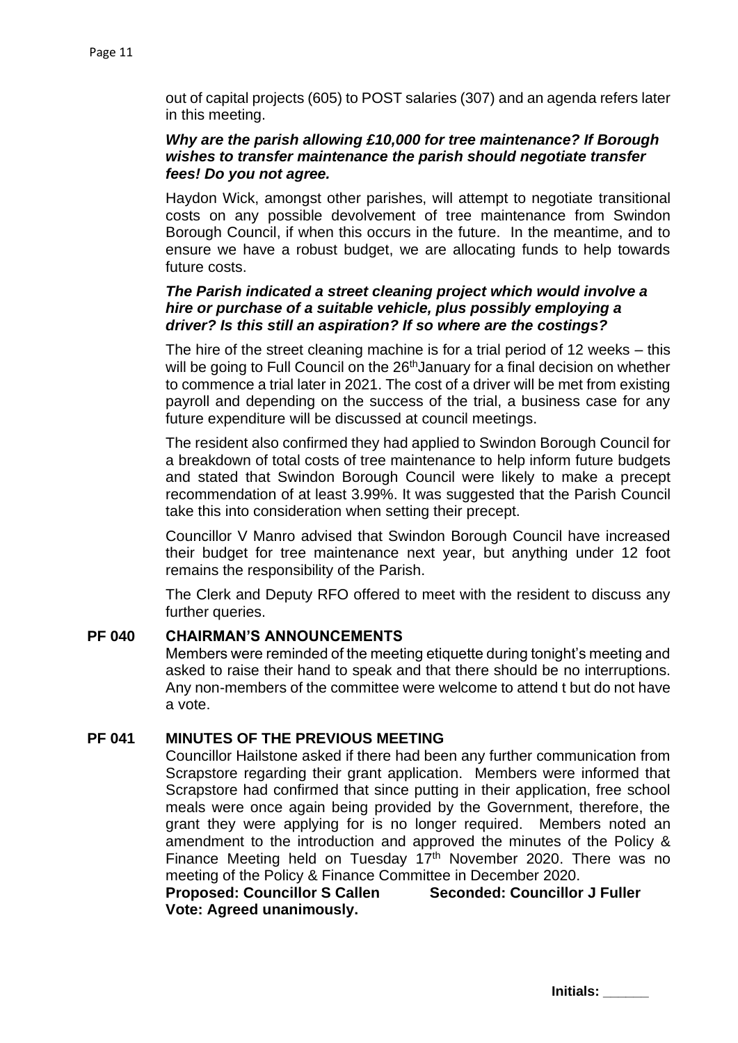out of capital projects (605) to POST salaries (307) and an agenda refers later in this meeting.

### *Why are the parish allowing £10,000 for tree maintenance? If Borough wishes to transfer maintenance the parish should negotiate transfer fees! Do you not agree.*

Haydon Wick, amongst other parishes, will attempt to negotiate transitional costs on any possible devolvement of tree maintenance from Swindon Borough Council, if when this occurs in the future. In the meantime, and to ensure we have a robust budget, we are allocating funds to help towards future costs.

# *The Parish indicated a street cleaning project which would involve a hire or purchase of a suitable vehicle, plus possibly employing a driver? Is this still an aspiration? If so where are the costings?*

The hire of the street cleaning machine is for a trial period of 12 weeks – this will be going to Full Council on the 26<sup>th</sup> January for a final decision on whether to commence a trial later in 2021. The cost of a driver will be met from existing payroll and depending on the success of the trial, a business case for any future expenditure will be discussed at council meetings.

The resident also confirmed they had applied to Swindon Borough Council for a breakdown of total costs of tree maintenance to help inform future budgets and stated that Swindon Borough Council were likely to make a precept recommendation of at least 3.99%. It was suggested that the Parish Council take this into consideration when setting their precept.

Councillor V Manro advised that Swindon Borough Council have increased their budget for tree maintenance next year, but anything under 12 foot remains the responsibility of the Parish.

The Clerk and Deputy RFO offered to meet with the resident to discuss any further queries.

#### **PF 040 CHAIRMAN'S ANNOUNCEMENTS**

Members were reminded of the meeting etiquette during tonight's meeting and asked to raise their hand to speak and that there should be no interruptions. Any non-members of the committee were welcome to attend t but do not have a vote.

# **PF 041 MINUTES OF THE PREVIOUS MEETING**

Councillor Hailstone asked if there had been any further communication from Scrapstore regarding their grant application. Members were informed that Scrapstore had confirmed that since putting in their application, free school meals were once again being provided by the Government, therefore, the grant they were applying for is no longer required. Members noted an amendment to the introduction and approved the minutes of the Policy & Finance Meeting held on Tuesday 17<sup>th</sup> November 2020. There was no meeting of the Policy & Finance Committee in December 2020.

**Proposed: Councillor S Callen Seconded: Councillor J Fuller Vote: Agreed unanimously.**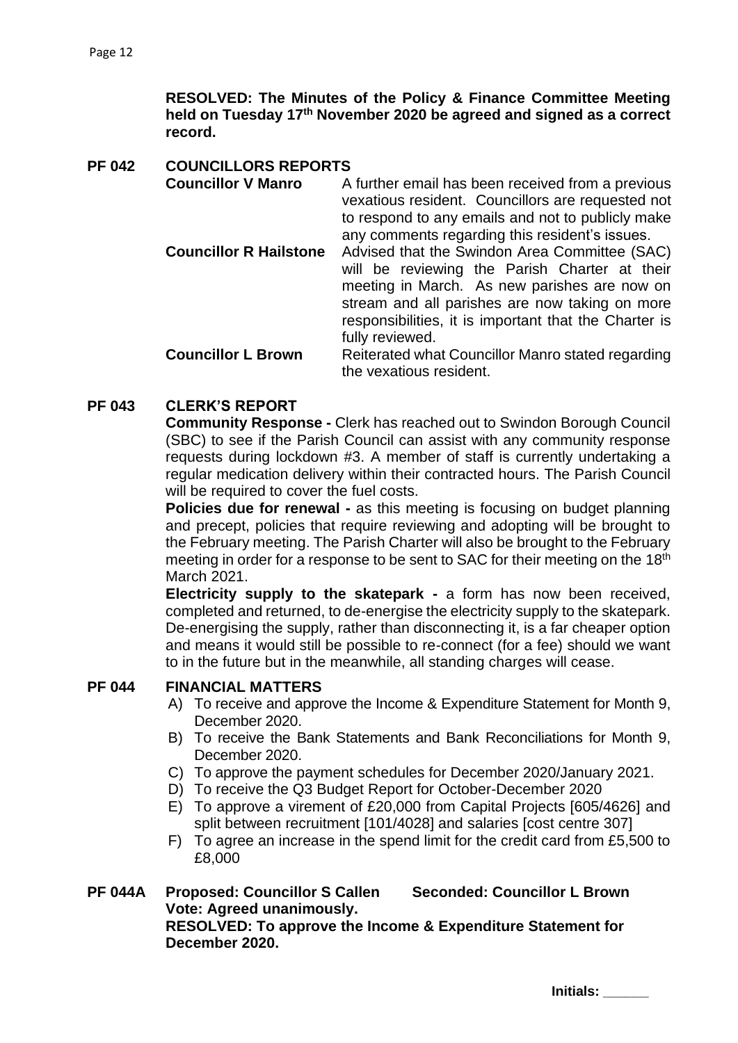**RESOLVED: The Minutes of the Policy & Finance Committee Meeting held on Tuesday 17th November 2020 be agreed and signed as a correct record.** 

**PF 042 COUNCILLORS REPORTS Councillor V Manro** A further email has been received from a previous vexatious resident. Councillors are requested not to respond to any emails and not to publicly make any comments regarding this resident's issues. **Councillor R Hailstone** Advised that the Swindon Area Committee (SAC) will be reviewing the Parish Charter at their meeting in March. As new parishes are now on stream and all parishes are now taking on more responsibilities, it is important that the Charter is fully reviewed. **Councillor L Brown** Reiterated what Councillor Manro stated regarding the vexatious resident.

# **PF 043 CLERK'S REPORT**

**Community Response -** Clerk has reached out to Swindon Borough Council (SBC) to see if the Parish Council can assist with any community response requests during lockdown #3. A member of staff is currently undertaking a regular medication delivery within their contracted hours. The Parish Council will be required to cover the fuel costs.

**Policies due for renewal -** as this meeting is focusing on budget planning and precept, policies that require reviewing and adopting will be brought to the February meeting. The Parish Charter will also be brought to the February meeting in order for a response to be sent to SAC for their meeting on the 18<sup>th</sup> March 2021.

**Electricity supply to the skatepark -** a form has now been received, completed and returned, to de-energise the electricity supply to the skatepark. De-energising the supply, rather than disconnecting it, is a far cheaper option and means it would still be possible to re-connect (for a fee) should we want to in the future but in the meanwhile, all standing charges will cease.

# **PF 044 FINANCIAL MATTERS**

- A) To receive and approve the Income & Expenditure Statement for Month 9, December 2020.
- B) To receive the Bank Statements and Bank Reconciliations for Month 9, December 2020.
- C) To approve the payment schedules for December 2020/January 2021.
- D) To receive the Q3 Budget Report for October-December 2020
- E) To approve a virement of £20,000 from Capital Projects [605/4626] and split between recruitment [101/4028] and salaries [cost centre 307]
- F) To agree an increase in the spend limit for the credit card from £5,500 to £8,000

# **PF 044A Proposed: Councillor S Callen Seconded: Councillor L Brown Vote: Agreed unanimously.**

**RESOLVED: To approve the Income & Expenditure Statement for December 2020.**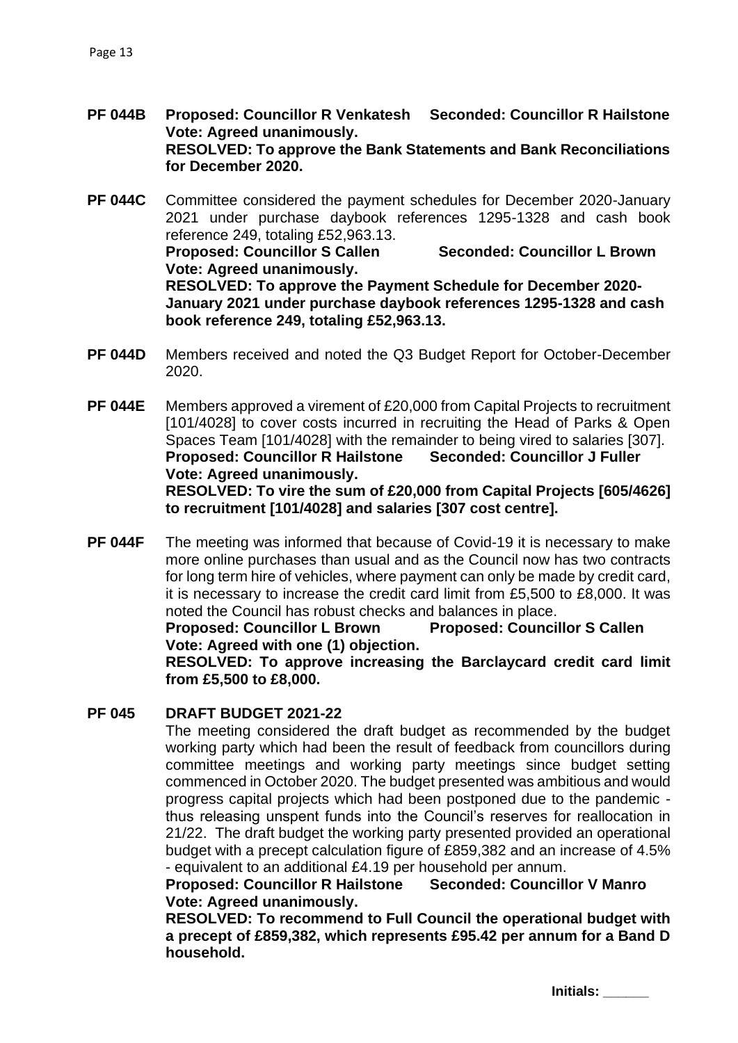- **PF 044B Proposed: Councillor R Venkatesh Seconded: Councillor R Hailstone Vote: Agreed unanimously. RESOLVED: To approve the Bank Statements and Bank Reconciliations for December 2020.**
- **PF 044C** Committee considered the payment schedules for December 2020-January 2021 under purchase daybook references 1295-1328 and cash book reference 249, totaling £52,963.13. **Proposed: Councillor S Callen Seconded: Councillor L Brown Vote: Agreed unanimously. RESOLVED: To approve the Payment Schedule for December 2020- January 2021 under purchase daybook references 1295-1328 and cash book reference 249, totaling £52,963.13.**
- **PF 044D** Members received and noted the Q3 Budget Report for October-December 2020.
- **PF 044E** Members approved a virement of £20,000 from Capital Projects to recruitment [101/4028] to cover costs incurred in recruiting the Head of Parks & Open Spaces Team [101/4028] with the remainder to being vired to salaries [307]. **Proposed: Councillor R Hailstone Seconded: Councillor J Fuller Vote: Agreed unanimously. RESOLVED: To vire the sum of £20,000 from Capital Projects [605/4626] to recruitment [101/4028] and salaries [307 cost centre].**
- **PF 044F** The meeting was informed that because of Covid-19 it is necessary to make more online purchases than usual and as the Council now has two contracts for long term hire of vehicles, where payment can only be made by credit card, it is necessary to increase the credit card limit from £5,500 to £8,000. It was noted the Council has robust checks and balances in place.

**Proposed: Councillor L Brown Proposed: Councillor S Callen Vote: Agreed with one (1) objection.**

**RESOLVED: To approve increasing the Barclaycard credit card limit from £5,500 to £8,000.**

#### **PF 045 DRAFT BUDGET 2021-22**

The meeting considered the draft budget as recommended by the budget working party which had been the result of feedback from councillors during committee meetings and working party meetings since budget setting commenced in October 2020. The budget presented was ambitious and would progress capital projects which had been postponed due to the pandemic thus releasing unspent funds into the Council's reserves for reallocation in 21/22. The draft budget the working party presented provided an operational budget with a precept calculation figure of £859,382 and an increase of 4.5% - equivalent to an additional £4.19 per household per annum.

**Proposed: Councillor R Hailstone Seconded: Councillor V Manro Vote: Agreed unanimously.** 

**RESOLVED: To recommend to Full Council the operational budget with a precept of £859,382, which represents £95.42 per annum for a Band D household.**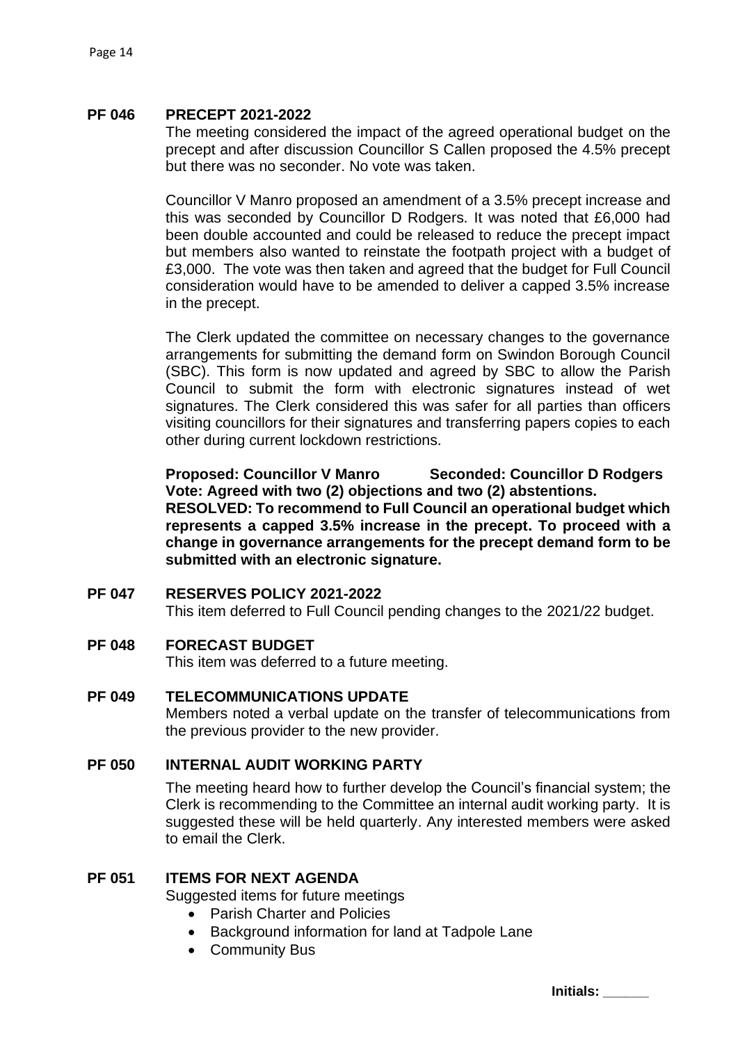#### **PF 046 PRECEPT 2021-2022**

The meeting considered the impact of the agreed operational budget on the precept and after discussion Councillor S Callen proposed the 4.5% precept but there was no seconder. No vote was taken.

Councillor V Manro proposed an amendment of a 3.5% precept increase and this was seconded by Councillor D Rodgers. It was noted that £6,000 had been double accounted and could be released to reduce the precept impact but members also wanted to reinstate the footpath project with a budget of £3,000. The vote was then taken and agreed that the budget for Full Council consideration would have to be amended to deliver a capped 3.5% increase in the precept.

The Clerk updated the committee on necessary changes to the governance arrangements for submitting the demand form on Swindon Borough Council (SBC). This form is now updated and agreed by SBC to allow the Parish Council to submit the form with electronic signatures instead of wet signatures. The Clerk considered this was safer for all parties than officers visiting councillors for their signatures and transferring papers copies to each other during current lockdown restrictions.

**Proposed: Councillor V Manro Seconded: Councillor D Rodgers Vote: Agreed with two (2) objections and two (2) abstentions. RESOLVED: To recommend to Full Council an operational budget which represents a capped 3.5% increase in the precept. To proceed with a change in governance arrangements for the precept demand form to be submitted with an electronic signature.** 

#### **PF 047 RESERVES POLICY 2021-2022**

This item deferred to Full Council pending changes to the 2021/22 budget.

#### **PF 048 FORECAST BUDGET**

This item was deferred to a future meeting.

#### **PF 049 TELECOMMUNICATIONS UPDATE**

Members noted a verbal update on the transfer of telecommunications from the previous provider to the new provider.

#### **PF 050 INTERNAL AUDIT WORKING PARTY**

The meeting heard how to further develop the Council's financial system; the Clerk is recommending to the Committee an internal audit working party. It is suggested these will be held quarterly. Any interested members were asked to email the Clerk.

#### **PF 051 ITEMS FOR NEXT AGENDA**

Suggested items for future meetings

- Parish Charter and Policies
- Background information for land at Tadpole Lane
- Community Bus